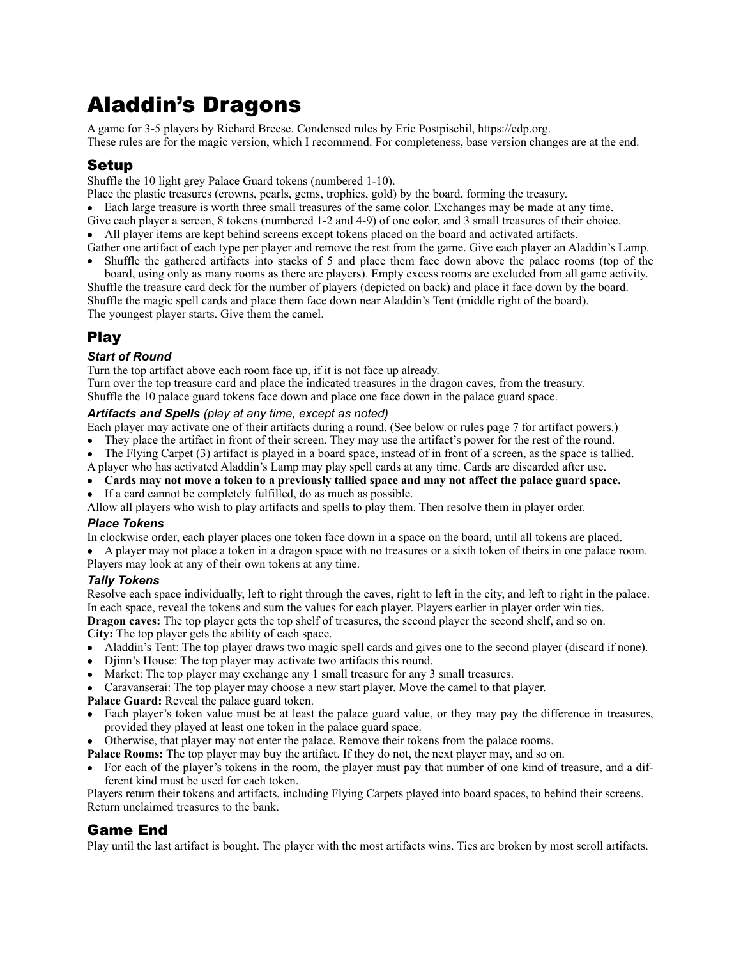# Aladdin's Dragons

A game for 3-5 players by Richard Breese. Condensed rules by Eric Postpischil, [https://edp.org.](https://edp.org) These rules are for the magic version, which I recommend. For completeness, base version changes are at the end.

### Setup

Shuffle the 10 light grey Palace Guard tokens (numbered 1-10).

- Place the plastic treasures (crowns, pearls, gems, trophies, gold) by the board, forming the treasury.
- Each large treasure is worth three small treasures of the same color. Exchanges may be made at any time.
- Give each player a screen, 8 tokens (numbered 1-2 and 4-9) of one color, and 3 small treasures of their choice.

• All player items are kept behind screens except tokens placed on the board and activated artifacts.

Gather one artifact of each type per player and remove the rest from the game. Give each player an Aladdin's Lamp. • Shuffle the gathered artifacts into stacks of 5 and place them face down above the palace rooms (top of the

board, using only as many rooms as there are players). Empty excess rooms are excluded from all game activity. Shuffle the treasure card deck for the number of players (depicted on back) and place it face down by the board. Shuffle the magic spell cards and place them face down near Aladdin's Tent (middle right of the board). The youngest player starts. Give them the camel.

# Play

#### *Start of Round*

Turn the top artifact above each room face up, if it is not face up already.

Turn over the top treasure card and place the indicated treasures in the dragon caves, from the treasury. Shuffle the 10 palace guard tokens face down and place one face down in the palace guard space.

#### *Artifacts and Spells (play at any time, except as noted)*

Each player may activate one of their artifacts during a round. (See below or rules page 7 for artifact powers.)

- They place the artifact in front of their screen. They may use the artifact's power for the rest of the round.
- The Flying Carpet (3) artifact is played in a board space, instead of in front of a screen, as the space is tallied.

A player who has activated Aladdin's Lamp may play spell cards at any time. Cards are discarded after use.

- **Cards may not move a token to a previously tallied space and may not affect the palace guard space.**
- If a card cannot be completely fulfilled, do as much as possible.

Allow all players who wish to play artifacts and spells to play them. Then resolve them in player order.

#### *Place Tokens*

In clockwise order, each player places one token face down in a space on the board, until all tokens are placed.

• A player may not place a token in a dragon space with no treasures or a sixth token of theirs in one palace room. Players may look at any of their own tokens at any time.

#### *Tally Tokens*

Resolve each space individually, left to right through the caves, right to left in the city, and left to right in the palace. In each space, reveal the tokens and sum the values for each player. Players earlier in player order win ties.

**Dragon caves:** The top player gets the top shelf of treasures, the second player the second shelf, and so on.

**City:** The top player gets the ability of each space.

- Aladdin's Tent: The top player draws two magic spell cards and gives one to the second player (discard if none).
- Djinn's House: The top player may activate two artifacts this round.
- Market: The top player may exchange any 1 small treasure for any 3 small treasures.
- Caravanserai: The top player may choose a new start player. Move the camel to that player.
- **Palace Guard:** Reveal the palace guard token.
- Each player's token value must be at least the palace guard value, or they may pay the difference in treasures, provided they played at least one token in the palace guard space.
- Otherwise, that player may not enter the palace. Remove their tokens from the palace rooms.
- **Palace Rooms:** The top player may buy the artifact. If they do not, the next player may, and so on.
- For each of the player's tokens in the room, the player must pay that number of one kind of treasure, and a different kind must be used for each token.

Players return their tokens and artifacts, including Flying Carpets played into board spaces, to behind their screens. Return unclaimed treasures to the bank.

## Game End

Play until the last artifact is bought. The player with the most artifacts wins. Ties are broken by most scroll artifacts.